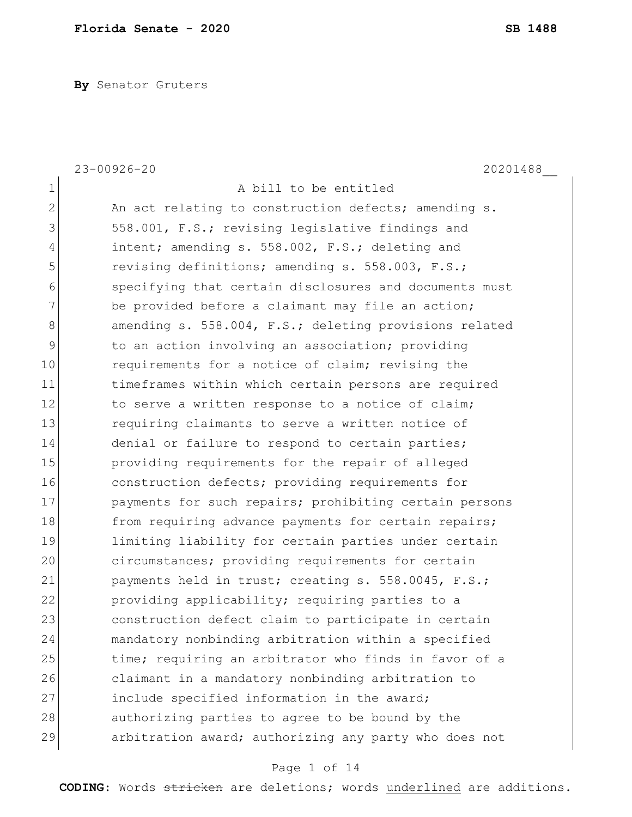**By** Senator Gruters

|                | $23 - 00926 - 20$<br>20201488                          |
|----------------|--------------------------------------------------------|
| $\mathbf 1$    | A bill to be entitled                                  |
| $\overline{2}$ | An act relating to construction defects; amending s.   |
| 3              | 558.001, F.S.; revising legislative findings and       |
| 4              | intent; amending s. 558.002, F.S.; deleting and        |
| 5              | revising definitions; amending s. 558.003, F.S.;       |
| 6              | specifying that certain disclosures and documents must |
| 7              | be provided before a claimant may file an action;      |
| $\,8\,$        | amending s. 558.004, F.S.; deleting provisions related |
| $\mathsf 9$    | to an action involving an association; providing       |
| 10             | requirements for a notice of claim; revising the       |
| 11             | timeframes within which certain persons are required   |
| 12             | to serve a written response to a notice of claim;      |
| 13             | requiring claimants to serve a written notice of       |
| 14             | denial or failure to respond to certain parties;       |
| 15             | providing requirements for the repair of alleged       |
| 16             | construction defects; providing requirements for       |
| 17             | payments for such repairs; prohibiting certain persons |
| 18             | from requiring advance payments for certain repairs;   |
| 19             | limiting liability for certain parties under certain   |
| 20             | circumstances; providing requirements for certain      |
| 21             | payments held in trust; creating s. 558.0045, F.S.;    |
| 22             | providing applicability; requiring parties to a        |
| 23             | construction defect claim to participate in certain    |
| 24             | mandatory nonbinding arbitration within a specified    |
| 25             | time; requiring an arbitrator who finds in favor of a  |
| 26             | claimant in a mandatory nonbinding arbitration to      |
| 27             | include specified information in the award;            |
|                |                                                        |
| 28             | authorizing parties to agree to be bound by the        |

# Page 1 of 14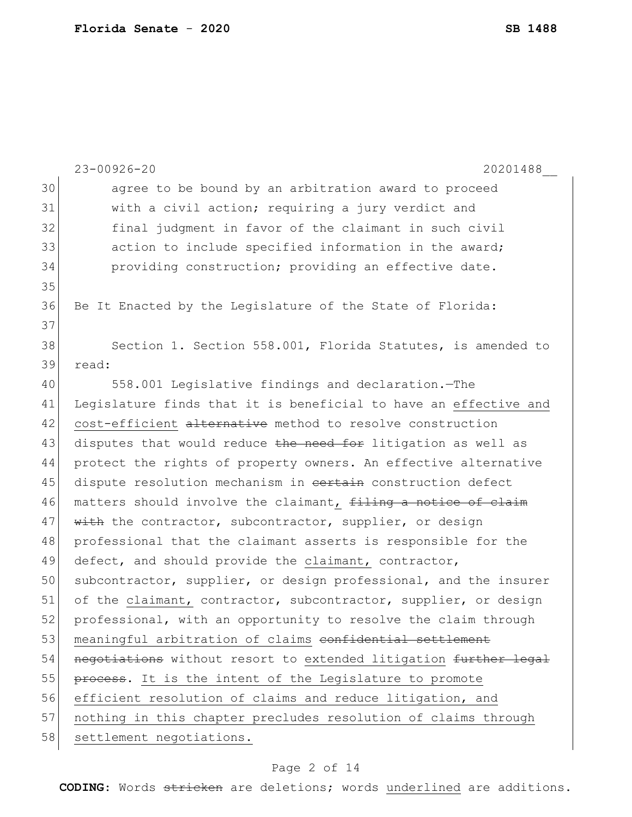|    | $23 - 00926 - 20$<br>20201488                                    |
|----|------------------------------------------------------------------|
| 30 | agree to be bound by an arbitration award to proceed             |
| 31 | with a civil action; requiring a jury verdict and                |
| 32 | final judgment in favor of the claimant in such civil            |
| 33 | action to include specified information in the award;            |
| 34 | providing construction; providing an effective date.             |
| 35 |                                                                  |
| 36 | Be It Enacted by the Legislature of the State of Florida:        |
| 37 |                                                                  |
| 38 | Section 1. Section 558.001, Florida Statutes, is amended to      |
| 39 | read:                                                            |
| 40 | 558.001 Legislative findings and declaration. - The              |
| 41 | Legislature finds that it is beneficial to have an effective and |
| 42 | cost-efficient alternative method to resolve construction        |
| 43 | disputes that would reduce the need for litigation as well as    |
| 44 | protect the rights of property owners. An effective alternative  |
| 45 | dispute resolution mechanism in cortain construction defect      |
| 46 | matters should involve the claimant, filing a notice of claim    |
| 47 | with the contractor, subcontractor, supplier, or design          |
| 48 | professional that the claimant asserts is responsible for the    |
| 49 | defect, and should provide the claimant, contractor,             |
| 50 | subcontractor, supplier, or design professional, and the insurer |
| 51 | of the claimant, contractor, subcontractor, supplier, or design  |
| 52 | professional, with an opportunity to resolve the claim through   |
| 53 | meaningful arbitration of claims confidential settlement         |
| 54 | negotiations without resort to extended litigation further legal |
| 55 | process. It is the intent of the Legislature to promote          |
| 56 | efficient resolution of claims and reduce litigation, and        |
| 57 | nothing in this chapter precludes resolution of claims through   |
| 58 | settlement negotiations.                                         |
|    |                                                                  |

# Page 2 of 14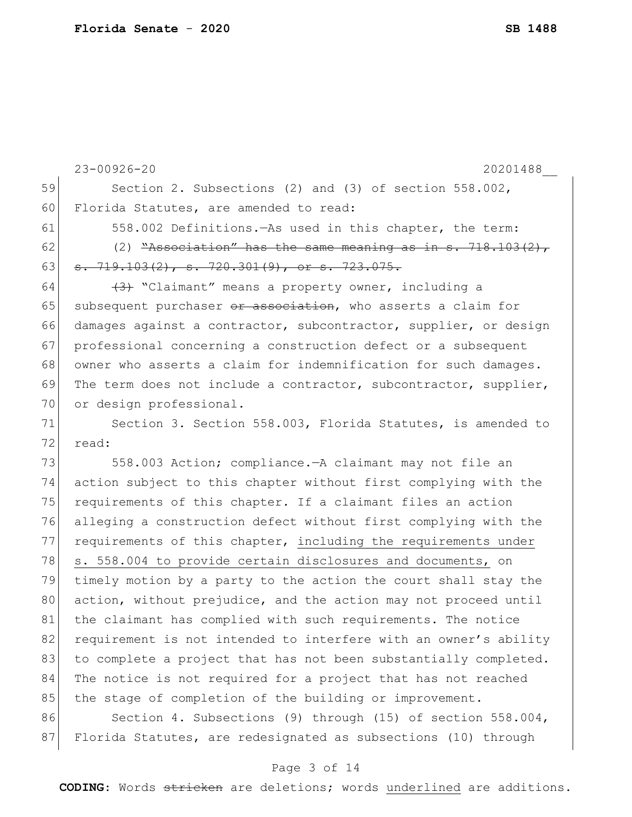|    | $23 - 00926 - 20$<br>20201488                                                                                                                                                                                 |
|----|---------------------------------------------------------------------------------------------------------------------------------------------------------------------------------------------------------------|
| 59 | Section 2. Subsections (2) and (3) of section 558.002,                                                                                                                                                        |
| 60 | Florida Statutes, are amended to read:                                                                                                                                                                        |
| 61 | 558.002 Definitions.—As used in this chapter, the term:                                                                                                                                                       |
| 62 | (2) $\frac{w}{A}$ ssociation" has the same meaning as in s. 718.103(2),                                                                                                                                       |
| 63 | $\frac{1}{9}$ , $\frac{1}{9}$ , $\frac{1}{9}$ , $\frac{1}{9}$ , $\frac{1}{9}$ , $\frac{1}{9}$ , $\frac{1}{9}$ , $\frac{1}{9}$ , $\frac{1}{9}$ , $\frac{1}{9}$ , $\frac{1}{9}$ , $\frac{1}{9}$ , $\frac{1}{9}$ |
| 64 | (3) "Claimant" means a property owner, including a                                                                                                                                                            |
| 65 | subsequent purchaser or association, who asserts a claim for                                                                                                                                                  |
| 66 | damages against a contractor, subcontractor, supplier, or design                                                                                                                                              |
| 67 | professional concerning a construction defect or a subsequent                                                                                                                                                 |
| 68 | owner who asserts a claim for indemnification for such damages.                                                                                                                                               |
| 69 | The term does not include a contractor, subcontractor, supplier,                                                                                                                                              |
| 70 | or design professional.                                                                                                                                                                                       |
| 71 | Section 3. Section 558.003, Florida Statutes, is amended to                                                                                                                                                   |
| 72 | read:                                                                                                                                                                                                         |
| 73 | 558.003 Action; compliance. - A claimant may not file an                                                                                                                                                      |
| 74 | action subject to this chapter without first complying with the                                                                                                                                               |
| 75 | requirements of this chapter. If a claimant files an action                                                                                                                                                   |
| 76 | alleging a construction defect without first complying with the                                                                                                                                               |
| 77 | requirements of this chapter, including the requirements under                                                                                                                                                |
| 78 | s. 558.004 to provide certain disclosures and documents, on                                                                                                                                                   |
| 79 | timely motion by a party to the action the court shall stay the                                                                                                                                               |
| 80 | action, without prejudice, and the action may not proceed until                                                                                                                                               |
| 81 | the claimant has complied with such requirements. The notice                                                                                                                                                  |
| 82 | requirement is not intended to interfere with an owner's ability                                                                                                                                              |
| 83 | to complete a project that has not been substantially completed.                                                                                                                                              |
| 84 | The notice is not required for a project that has not reached                                                                                                                                                 |
| 85 | the stage of completion of the building or improvement.                                                                                                                                                       |
| 86 | Section 4. Subsections (9) through (15) of section 558.004,                                                                                                                                                   |
| 87 | Florida Statutes, are redesignated as subsections (10) through                                                                                                                                                |

# Page 3 of 14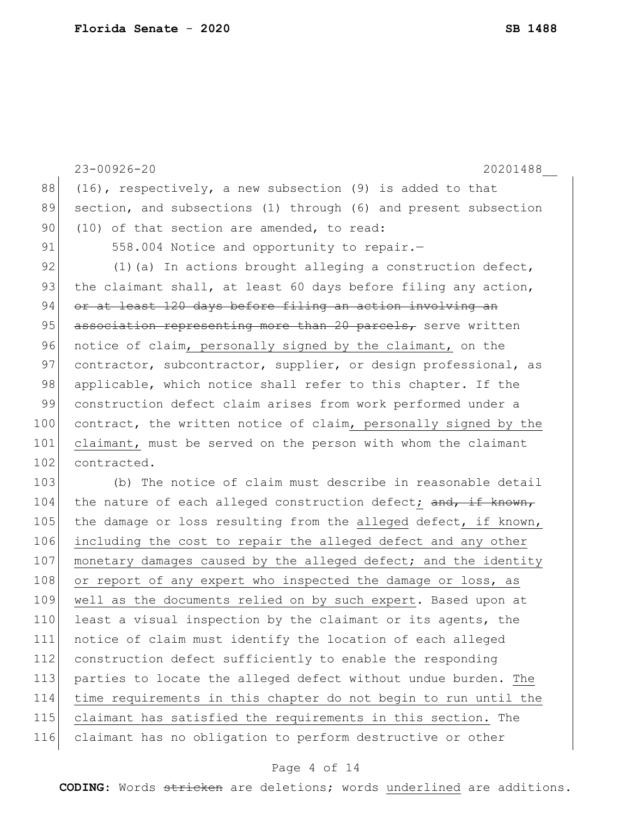23-00926-20 20201488\_\_ 88 (16), respectively, a new subsection (9) is added to that 89 section, and subsections (1) through (6) and present subsection 90 (10) of that section are amended, to read: 91 558.004 Notice and opportunity to repair. 92  $(1)(a)$  In actions brought alleging a construction defect, 93 the claimant shall, at least 60 days before filing any action, 94 or at least 120 days before filing an action involving an 95  $\sigma$  association representing more than 20 parcels, serve written 96 notice of claim, personally signed by the claimant, on the 97 contractor, subcontractor, supplier, or design professional, as 98 applicable, which notice shall refer to this chapter. If the 99 construction defect claim arises from work performed under a 100 contract, the written notice of claim, personally signed by the 101 claimant, must be served on the person with whom the claimant 102 contracted. 103 (b) The notice of claim must describe in reasonable detail 104 the nature of each alleged construction defect; and, if known, 105 the damage or loss resulting from the alleged defect, if known, 106 including the cost to repair the alleged defect and any other 107 monetary damages caused by the alleged defect; and the identity 108 or report of any expert who inspected the damage or loss, as 109 well as the documents relied on by such expert. Based upon at 110 least a visual inspection by the claimant or its agents, the 111 notice of claim must identify the location of each alleged 112 construction defect sufficiently to enable the responding 113 parties to locate the alleged defect without undue burden. The 114 time requirements in this chapter do not begin to run until the 115 claimant has satisfied the requirements in this section. The 116 claimant has no obligation to perform destructive or other

#### Page 4 of 14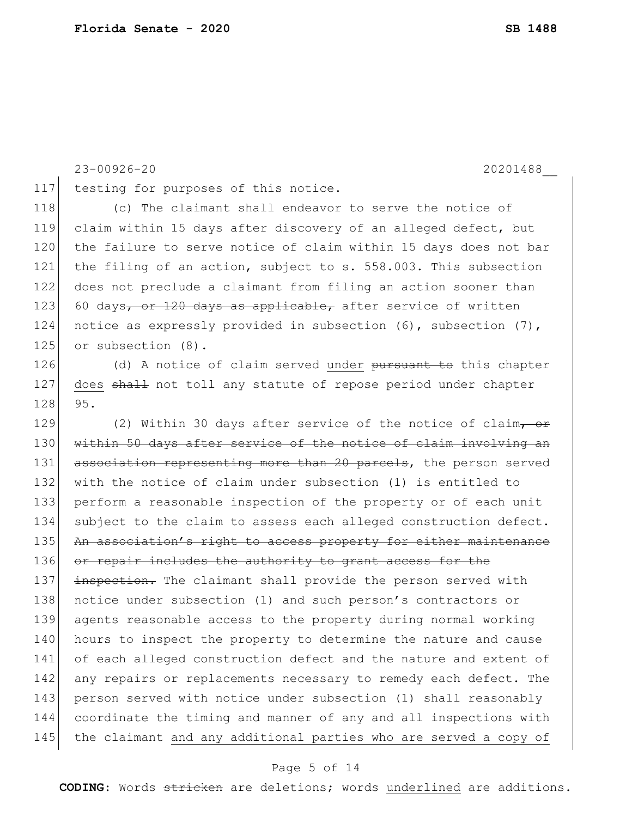117 testing for purposes of this notice.

118 (c) The claimant shall endeavor to serve the notice of 119 claim within 15 days after discovery of an alleged defect, but 120 the failure to serve notice of claim within 15 days does not bar 121 the filing of an action, subject to s. 558.003. This subsection 122 does not preclude a claimant from filing an action sooner than 123 60 days, or 120 days as applicable, after service of written 124 notice as expressly provided in subsection (6), subsection (7), 125 or subsection (8). 126 (d) A notice of claim served under <del>pursuant to</del> this chapter 127 does shall not toll any statute of repose period under chapter 128 95. 129 (2) Within 30 days after service of the notice of claim, or 130 within 50 days after service of the notice of claim involving an 131 association representing more than 20 parcels, the person served 132 with the notice of claim under subsection (1) is entitled to 133 perform a reasonable inspection of the property or of each unit 134 subject to the claim to assess each alleged construction defect. 135 An association's right to access property for either maintenance 136 or repair includes the authority to grant access for the 137 inspection. The claimant shall provide the person served with 138 notice under subsection (1) and such person's contractors or 139 agents reasonable access to the property during normal working 140 hours to inspect the property to determine the nature and cause 141 of each alleged construction defect and the nature and extent of

23-00926-20 20201488\_\_

# 142 any repairs or replacements necessary to remedy each defect. The 143 person served with notice under subsection (1) shall reasonably 144 coordinate the timing and manner of any and all inspections with 145 the claimant and any additional parties who are served a copy of

## Page 5 of 14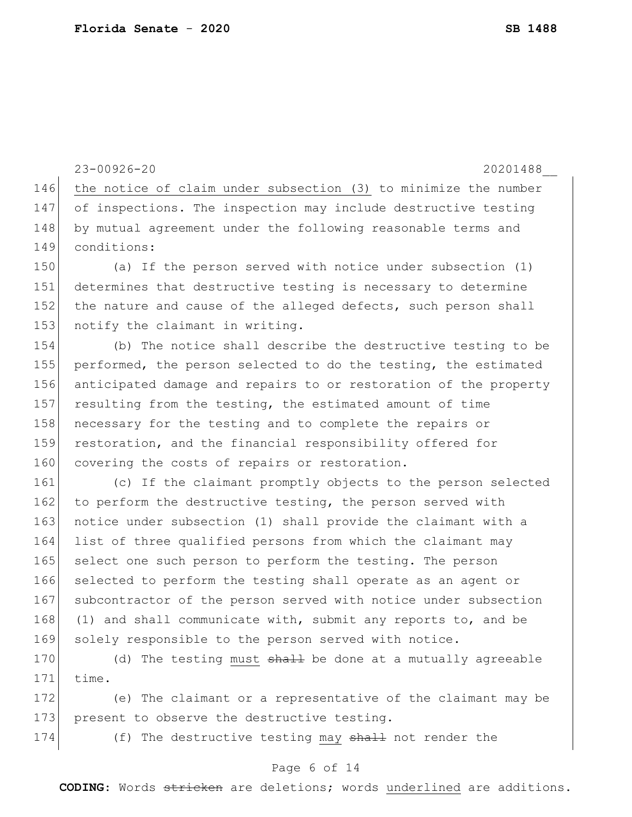23-00926-20 20201488\_\_ 146 the notice of claim under subsection (3) to minimize the number 147 of inspections. The inspection may include destructive testing 148 by mutual agreement under the following reasonable terms and 149 conditions: 150 (a) If the person served with notice under subsection (1) 151 determines that destructive testing is necessary to determine 152 the nature and cause of the alleged defects, such person shall 153 notify the claimant in writing. 154 (b) The notice shall describe the destructive testing to be 155 performed, the person selected to do the testing, the estimated 156 anticipated damage and repairs to or restoration of the property 157 resulting from the testing, the estimated amount of time 158 necessary for the testing and to complete the repairs or 159 restoration, and the financial responsibility offered for 160 covering the costs of repairs or restoration. 161 (c) If the claimant promptly objects to the person selected 162 to perform the destructive testing, the person served with 163 notice under subsection (1) shall provide the claimant with a 164 list of three qualified persons from which the claimant may 165 select one such person to perform the testing. The person 166 selected to perform the testing shall operate as an agent or 167 subcontractor of the person served with notice under subsection 168 (1) and shall communicate with, submit any reports to, and be 169 solely responsible to the person served with notice.

170 (d) The testing must  $\frac{1}{2}$  be done at a mutually agreeable  $171$  time.

172 (e) The claimant or a representative of the claimant may be 173 present to observe the destructive testing.

174 (f) The destructive testing may shall not render the

## Page 6 of 14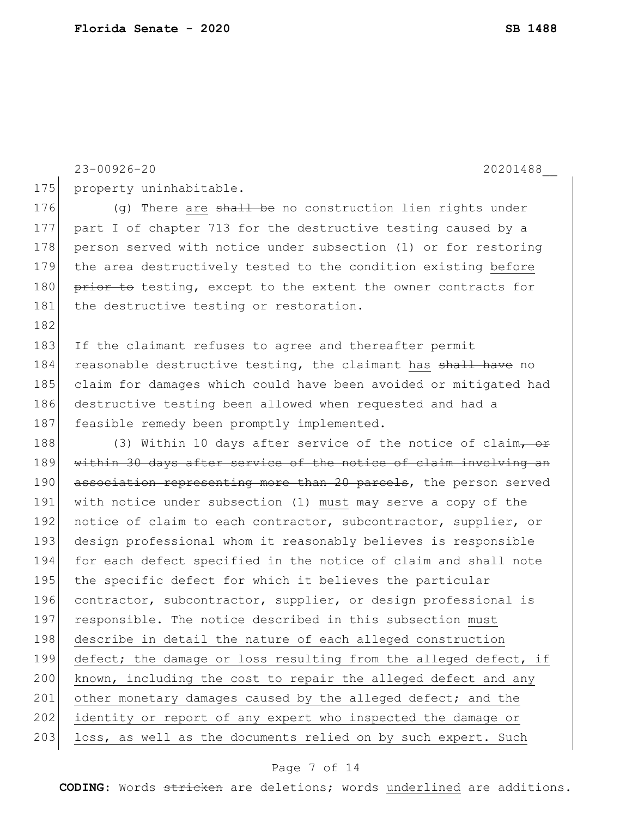23-00926-20 20201488\_\_

182

175 property uninhabitable.

176  $(q)$  There are  $\frac{1}{2}$  the no construction lien rights under 177 part I of chapter 713 for the destructive testing caused by a 178 person served with notice under subsection (1) or for restoring 179 the area destructively tested to the condition existing before 180 prior to testing, except to the extent the owner contracts for 181 the destructive testing or restoration.

183 If the claimant refuses to agree and thereafter permit 184 reasonable destructive testing, the claimant has shall have no 185 claim for damages which could have been avoided or mitigated had 186 destructive testing been allowed when requested and had a 187 feasible remedy been promptly implemented.

188 (3) Within 10 days after service of the notice of claim, or 189 within 30 days after service of the notice of claim involving an 190 association representing more than 20 parcels, the person served 191 with notice under subsection (1) must may serve a copy of the 192 notice of claim to each contractor, subcontractor, supplier, or 193 design professional whom it reasonably believes is responsible 194 for each defect specified in the notice of claim and shall note 195 the specific defect for which it believes the particular 196 contractor, subcontractor, supplier, or design professional is 197 responsible. The notice described in this subsection must 198 describe in detail the nature of each alleged construction 199 defect; the damage or loss resulting from the alleged defect, if 200 known, including the cost to repair the alleged defect and any 201 other monetary damages caused by the alleged defect; and the 202 identity or report of any expert who inspected the damage or 203 loss, as well as the documents relied on by such expert. Such

## Page 7 of 14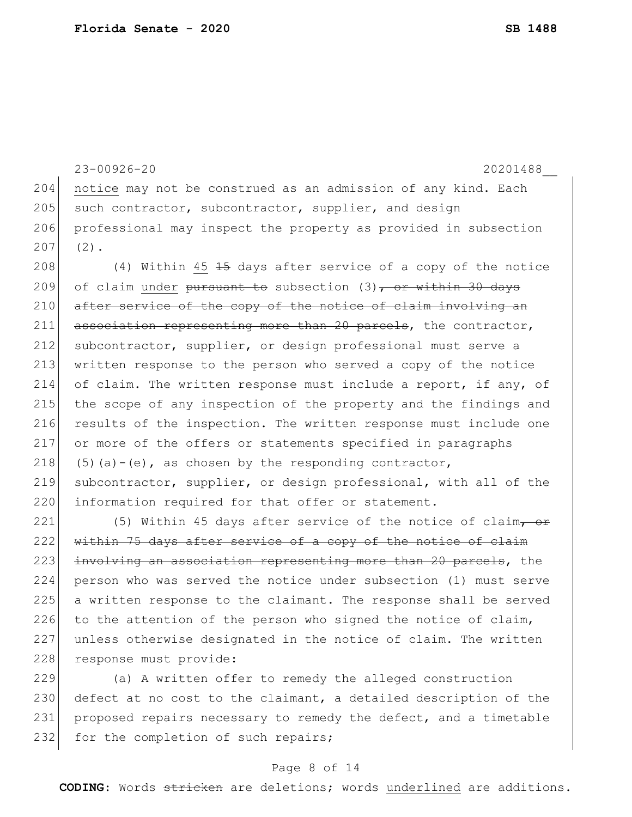```
23-00926-20 20201488__
204 notice may not be construed as an admission of any kind. Each
205 such contractor, subcontractor, supplier, and design
206 professional may inspect the property as provided in subsection 
207 (2).
208 (4) Within 45 \frac{15}{15} days after service of a copy of the notice
209 of claim under pursuant to subsection (3), or within 30 days
210 after service of the copy of the notice of claim involving an
211 association representing more than 20 parcels, the contractor,
212 subcontractor, supplier, or design professional must serve a 
213 written response to the person who served a copy of the notice 
214 of claim. The written response must include a report, if any, of 
215 the scope of any inspection of the property and the findings and 
216 results of the inspection. The written response must include one
217 or more of the offers or statements specified in paragraphs 
218 (5)(a)-(e), as chosen by the responding contractor,
219 subcontractor, supplier, or design professional, with all of the
220 information required for that offer or statement.
221 (5) Within 45 days after service of the notice of claim, or
222 within 75 days after service of a copy of the notice of claim
223 involving an association representing more than 20 parcels, the
224 person who was served the notice under subsection (1) must serve 
225 a written response to the claimant. The response shall be served 
226 to the attention of the person who signed the notice of claim,
```
228 response must provide:

229 (a) A written offer to remedy the alleged construction 230 defect at no cost to the claimant, a detailed description of the 231 proposed repairs necessary to remedy the defect, and a timetable 232 for the completion of such repairs;

227 unless otherwise designated in the notice of claim. The written

## Page 8 of 14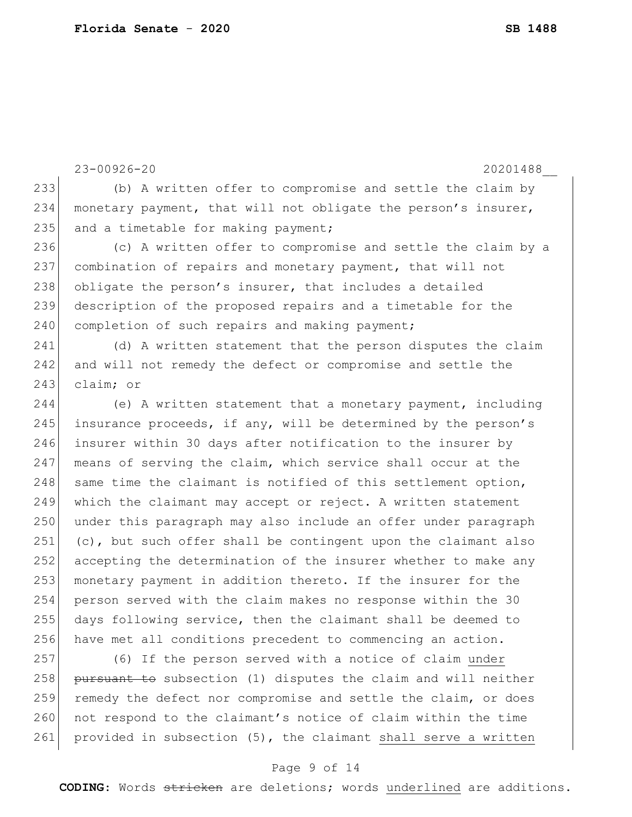23-00926-20 20201488\_\_ 233 (b) A written offer to compromise and settle the claim by 234 monetary payment, that will not obligate the person's insurer,  $235$  and a timetable for making payment; 236 (c) A written offer to compromise and settle the claim by a 237 combination of repairs and monetary payment, that will not 238 obligate the person's insurer, that includes a detailed 239 description of the proposed repairs and a timetable for the 240 completion of such repairs and making payment; 241 (d) A written statement that the person disputes the claim 242 and will not remedy the defect or compromise and settle the 243 claim; or 244 (e) A written statement that a monetary payment, including 245 insurance proceeds, if any, will be determined by the person's 246 insurer within 30 days after notification to the insurer by 247 means of serving the claim, which service shall occur at the 248 same time the claimant is notified of this settlement option, 249 which the claimant may accept or reject. A written statement 250 under this paragraph may also include an offer under paragraph 251 (c), but such offer shall be contingent upon the claimant also 252 accepting the determination of the insurer whether to make any 253 monetary payment in addition thereto. If the insurer for the 254 person served with the claim makes no response within the 30 255 days following service, then the claimant shall be deemed to 256 have met all conditions precedent to commencing an action. 257 (6) If the person served with a notice of claim under  $258$  pursuant to subsection (1) disputes the claim and will neither 259 remedy the defect nor compromise and settle the claim, or does 260 not respond to the claimant's notice of claim within the time 261 provided in subsection (5), the claimant shall serve a written

## Page 9 of 14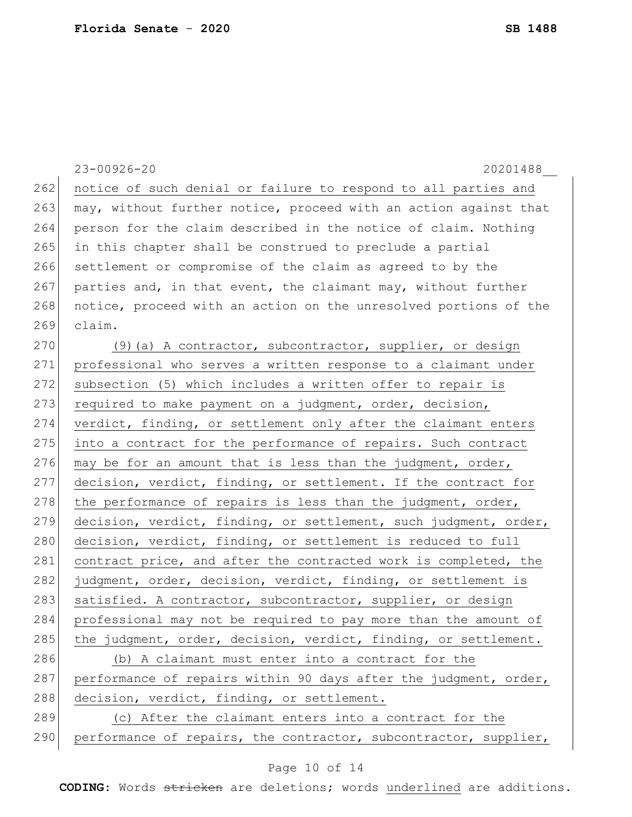|     | $23 - 00926 - 20$<br>20201488                                    |
|-----|------------------------------------------------------------------|
| 262 | notice of such denial or failure to respond to all parties and   |
| 263 | may, without further notice, proceed with an action against that |
| 264 | person for the claim described in the notice of claim. Nothing   |
| 265 | in this chapter shall be construed to preclude a partial         |
| 266 | settlement or compromise of the claim as agreed to by the        |
| 267 | parties and, in that event, the claimant may, without further    |
| 268 | notice, proceed with an action on the unresolved portions of the |
| 269 | claim.                                                           |
| 270 | (9) (a) A contractor, subcontractor, supplier, or design         |
| 271 | professional who serves a written response to a claimant under   |
| 272 | subsection (5) which includes a written offer to repair is       |
| 273 | required to make payment on a judgment, order, decision,         |
| 274 | verdict, finding, or settlement only after the claimant enters   |
| 275 | into a contract for the performance of repairs. Such contract    |
| 276 | may be for an amount that is less than the judgment, order,      |
| 277 | decision, verdict, finding, or settlement. If the contract for   |
| 278 | the performance of repairs is less than the judgment, order,     |
| 279 | decision, verdict, finding, or settlement, such judgment, order, |
| 280 | decision, verdict, finding, or settlement is reduced to full     |
| 281 | contract price, and after the contracted work is completed, the  |
| 282 | judgment, order, decision, verdict, finding, or settlement is    |
| 283 | satisfied. A contractor, subcontractor, supplier, or design      |
| 284 | professional may not be required to pay more than the amount of  |
| 285 | the judgment, order, decision, verdict, finding, or settlement.  |
| 286 | (b) A claimant must enter into a contract for the                |
| 287 | performance of repairs within 90 days after the judgment, order, |
| 288 | decision, verdict, finding, or settlement.                       |
| 289 | (c) After the claimant enters into a contract for the            |
| 290 | performance of repairs, the contractor, subcontractor, supplier, |

# Page 10 of 14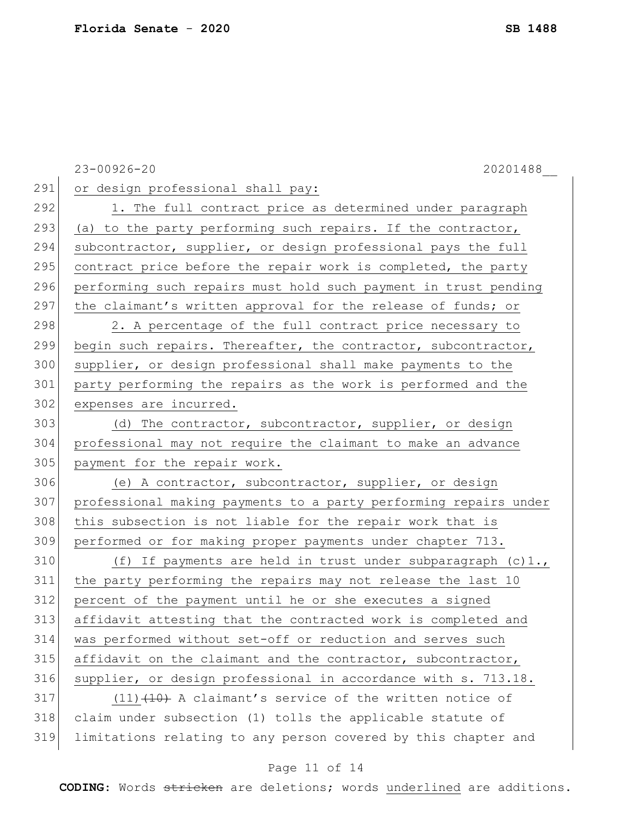23-00926-20 20201488\_\_ 291 or design professional shall pay: 292 1. The full contract price as determined under paragraph 293 (a) to the party performing such repairs. If the contractor, 294 subcontractor, supplier, or design professional pays the full 295 contract price before the repair work is completed, the party 296 performing such repairs must hold such payment in trust pending 297 the claimant's written approval for the release of funds; or 298 2. A percentage of the full contract price necessary to 299 begin such repairs. Thereafter, the contractor, subcontractor, 300 supplier, or design professional shall make payments to the 301 party performing the repairs as the work is performed and the 302 expenses are incurred. 303 (d) The contractor, subcontractor, supplier, or design 304 professional may not require the claimant to make an advance 305 payment for the repair work. 306 (e) A contractor, subcontractor, supplier, or design 307 professional making payments to a party performing repairs under 308 this subsection is not liable for the repair work that is 309 performed or for making proper payments under chapter 713. 310  $(f)$  If payments are held in trust under subparagraph  $(c)$ 1., 311 the party performing the repairs may not release the last 10 312 percent of the payment until he or she executes a signed 313 affidavit attesting that the contracted work is completed and 314 was performed without set-off or reduction and serves such  $315$  affidavit on the claimant and the contractor, subcontractor, 316 supplier, or design professional in accordance with s. 713.18.  $317$  (11) $\left(10\right)$  A claimant's service of the written notice of 318 claim under subsection (1) tolls the applicable statute of 319 limitations relating to any person covered by this chapter and

#### Page 11 of 14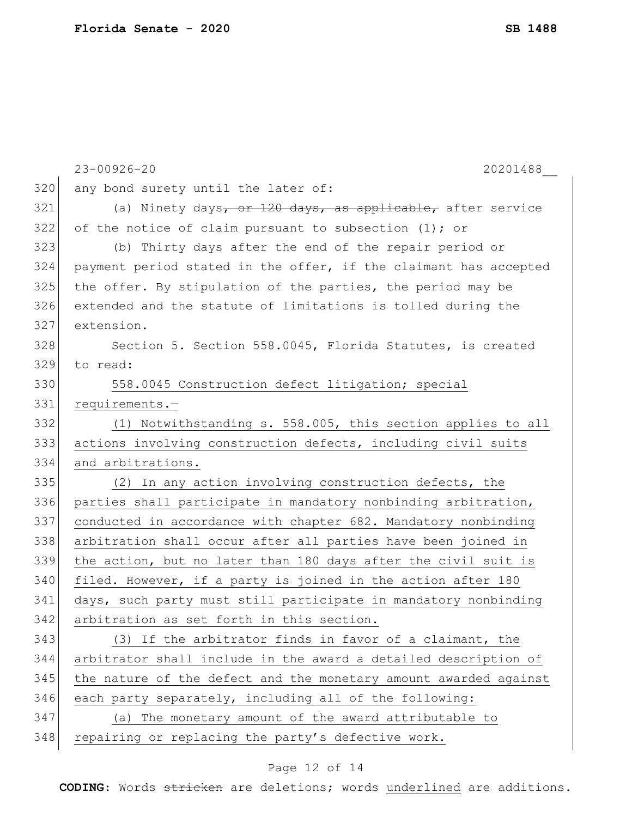|     | $23 - 00926 - 20$<br>20201488                                    |
|-----|------------------------------------------------------------------|
| 320 | any bond surety until the later of:                              |
| 321 | (a) Ninety days, or 120 days, as applicable, after service       |
| 322 | of the notice of claim pursuant to subsection $(1)$ ; or         |
| 323 | (b) Thirty days after the end of the repair period or            |
| 324 | payment period stated in the offer, if the claimant has accepted |
| 325 | the offer. By stipulation of the parties, the period may be      |
| 326 | extended and the statute of limitations is tolled during the     |
| 327 | extension.                                                       |
| 328 | Section 5. Section 558.0045, Florida Statutes, is created        |
| 329 | to read:                                                         |
| 330 | 558.0045 Construction defect litigation; special                 |
| 331 | requirements.-                                                   |
| 332 | (1) Notwithstanding s. 558.005, this section applies to all      |
| 333 | actions involving construction defects, including civil suits    |
| 334 | and arbitrations.                                                |
| 335 | (2) In any action involving construction defects, the            |
| 336 | parties shall participate in mandatory nonbinding arbitration,   |
| 337 | conducted in accordance with chapter 682. Mandatory nonbinding   |
| 338 | arbitration shall occur after all parties have been joined in    |
| 339 | the action, but no later than 180 days after the civil suit is   |
| 340 | filed. However, if a party is joined in the action after 180     |
| 341 | days, such party must still participate in mandatory nonbinding  |
| 342 | arbitration as set forth in this section.                        |
| 343 | (3) If the arbitrator finds in favor of a claimant, the          |
| 344 | arbitrator shall include in the award a detailed description of  |
| 345 | the nature of the defect and the monetary amount awarded against |
| 346 | each party separately, including all of the following:           |
| 347 | (a) The monetary amount of the award attributable to             |
| 348 | repairing or replacing the party's defective work.               |
|     |                                                                  |

# Page 12 of 14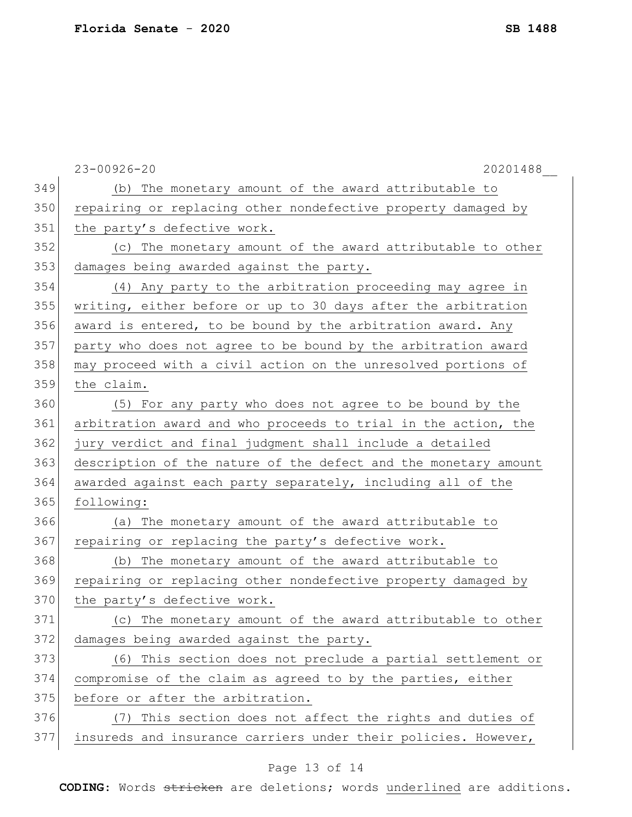|     | $23 - 00926 - 20$<br>20201488                                   |
|-----|-----------------------------------------------------------------|
| 349 | (b) The monetary amount of the award attributable to            |
| 350 | repairing or replacing other nondefective property damaged by   |
| 351 | the party's defective work.                                     |
| 352 | (c) The monetary amount of the award attributable to other      |
| 353 | damages being awarded against the party.                        |
| 354 | (4) Any party to the arbitration proceeding may agree in        |
| 355 | writing, either before or up to 30 days after the arbitration   |
| 356 | award is entered, to be bound by the arbitration award. Any     |
| 357 | party who does not agree to be bound by the arbitration award   |
| 358 | may proceed with a civil action on the unresolved portions of   |
| 359 | the claim.                                                      |
| 360 | (5) For any party who does not agree to be bound by the         |
| 361 | arbitration award and who proceeds to trial in the action, the  |
| 362 | jury verdict and final judgment shall include a detailed        |
| 363 | description of the nature of the defect and the monetary amount |
| 364 | awarded against each party separately, including all of the     |
| 365 | following:                                                      |
| 366 | (a) The monetary amount of the award attributable to            |
| 367 | repairing or replacing the party's defective work.              |
| 368 | (b) The monetary amount of the award attributable to            |
| 369 | repairing or replacing other nondefective property damaged by   |
| 370 | the party's defective work.                                     |
| 371 | (c) The monetary amount of the award attributable to other      |
| 372 | damages being awarded against the party.                        |
| 373 | (6) This section does not preclude a partial settlement or      |
| 374 | compromise of the claim as agreed to by the parties, either     |
| 375 | before or after the arbitration.                                |
| 376 | (7) This section does not affect the rights and duties of       |
| 377 | insureds and insurance carriers under their policies. However,  |
|     |                                                                 |

# Page 13 of 14